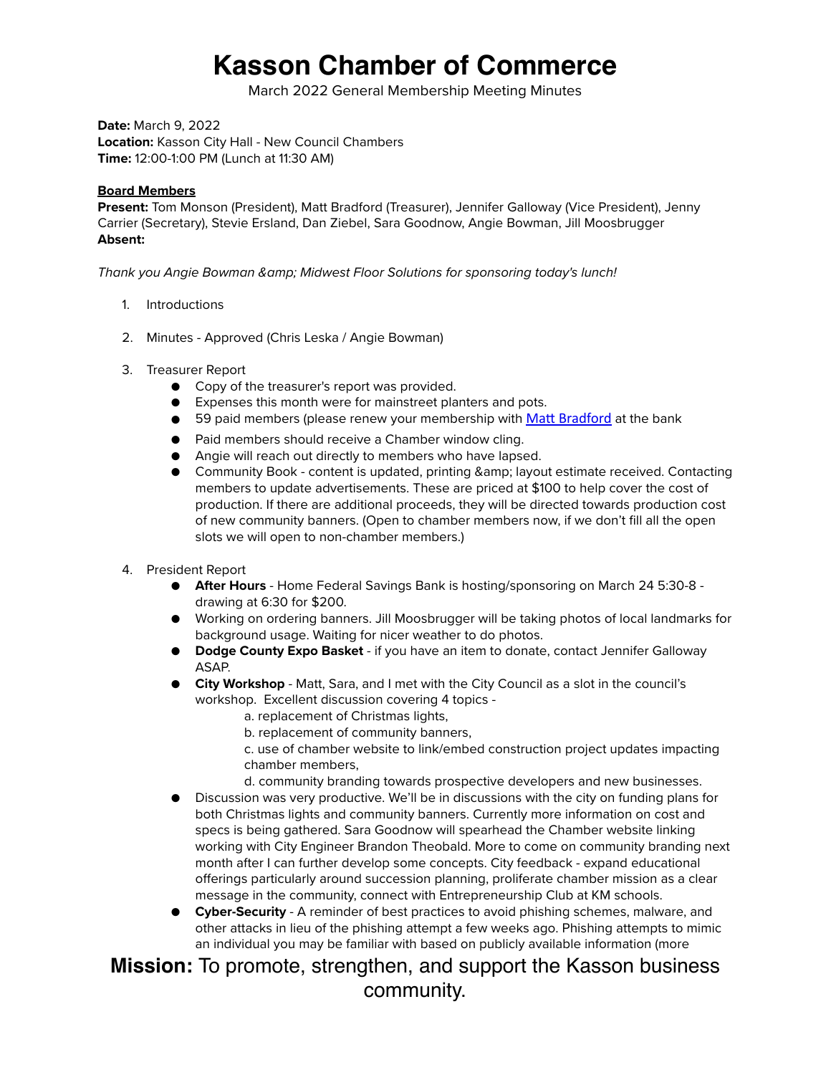## **Kasson Chamber of Commerce**

March 2022 General Membership Meeting Minutes

**Date:** March 9, 2022 **Location:** Kasson City Hall - New Council Chambers **Time:** 12:00-1:00 PM (Lunch at 11:30 AM)

#### **Board Members**

**Present:** Tom Monson (President), Matt Bradford (Treasurer), Jennifer Galloway (Vice President), Jenny Carrier (Secretary), Stevie Ersland, Dan Ziebel, Sara Goodnow, Angie Bowman, Jill Moosbrugger **Absent:** 

*Thank you Angie Bowman & Midwest Floor Solutions for sponsoring today's lunch!*

- 1. Introductions
- 2. Minutes Approved (Chris Leska / Angie Bowman)
- 3. Treasurer Report
	- Copy of the treasurer's report was provided.
	- Expenses this month were for mainstreet planters and pots.
	- 59 paid members (please renew your membership with [Matt Bradford](mailto:matt.bradford@hfsb.com) at the bank
	- Paid members should receive a Chamber window cling.
	- Angie will reach out directly to members who have lapsed.
	- Community Book content is updated, printing & amp; layout estimate received. Contacting members to update advertisements. These are priced at \$100 to help cover the cost of production. If there are additional proceeds, they will be directed towards production cost of new community banners. (Open to chamber members now, if we don't fill all the open slots we will open to non-chamber members.)
- 4. President Report
	- **After Hours** Home Federal Savings Bank is hosting/sponsoring on March 24 5:30-8 drawing at 6:30 for \$200.
	- Working on ordering banners. Jill Moosbrugger will be taking photos of local landmarks for background usage. Waiting for nicer weather to do photos.
	- **Dodge County Expo Basket** if you have an item to donate, contact Jennifer Galloway ASAP.
	- **City Workshop** Matt, Sara, and I met with the City Council as a slot in the council's workshop. Excellent discussion covering 4 topics
		- a. replacement of Christmas lights,
		- b. replacement of community banners,
		- c. use of chamber website to link/embed construction project updates impacting chamber members,
		- d. community branding towards prospective developers and new businesses.
	- Discussion was very productive. We'll be in discussions with the city on funding plans for both Christmas lights and community banners. Currently more information on cost and specs is being gathered. Sara Goodnow will spearhead the Chamber website linking working with City Engineer Brandon Theobald. More to come on community branding next month after I can further develop some concepts. City feedback - expand educational offerings particularly around succession planning, proliferate chamber mission as a clear message in the community, connect with Entrepreneurship Club at KM schools.
	- **Cyber-Security**  A reminder of best practices to avoid phishing schemes, malware, and other attacks in lieu of the phishing attempt a few weeks ago. Phishing attempts to mimic an individual you may be familiar with based on publicly available information (more

### **Mission:** To promote, strengthen, and support the Kasson business community.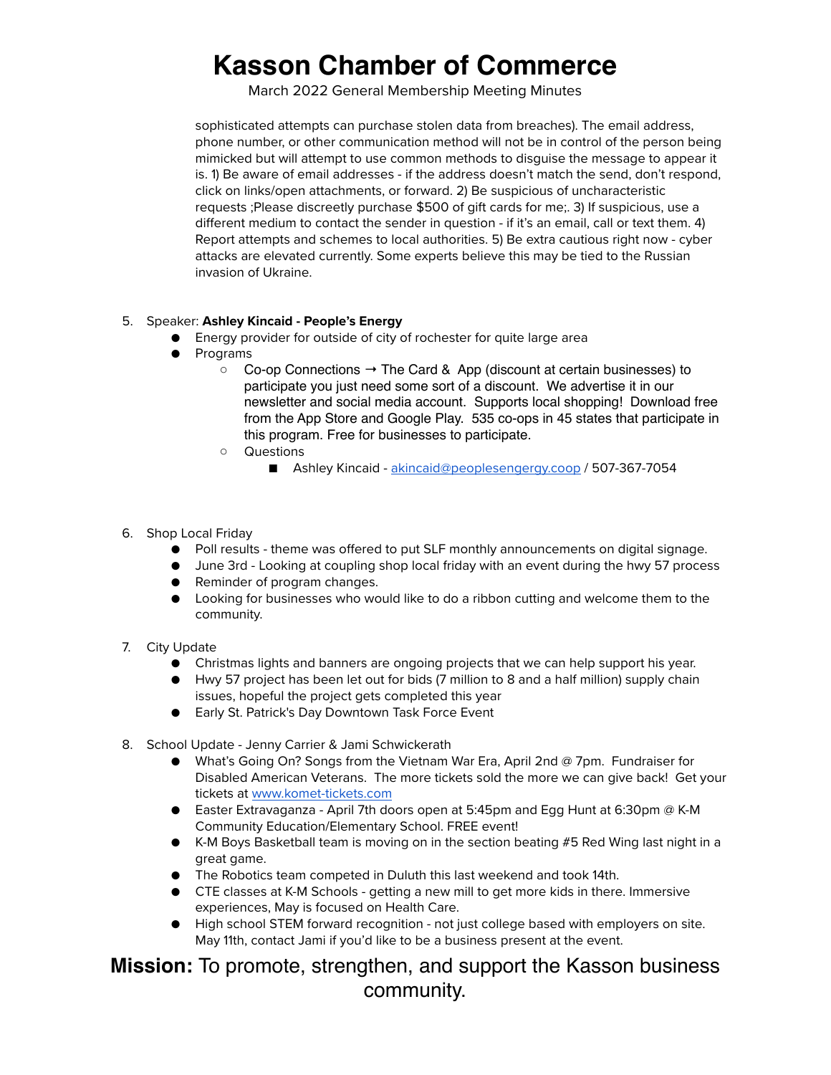## **Kasson Chamber of Commerce**

March 2022 General Membership Meeting Minutes

sophisticated attempts can purchase stolen data from breaches). The email address, phone number, or other communication method will not be in control of the person being mimicked but will attempt to use common methods to disguise the message to appear it is. 1) Be aware of email addresses - if the address doesn't match the send, don't respond, click on links/open attachments, or forward. 2) Be suspicious of uncharacteristic requests ;Please discreetly purchase \$500 of gift cards for me;. 3) If suspicious, use a different medium to contact the sender in question - if it's an email, call or text them. 4) Report attempts and schemes to local authorities. 5) Be extra cautious right now - cyber attacks are elevated currently. Some experts believe this may be tied to the Russian invasion of Ukraine.

#### 5. Speaker: **Ashley Kincaid - People's Energy**

- Energy provider for outside of city of rochester for quite large area
- Programs
	- $\circ$  Co-op Connections  $\rightarrow$  The Card & App (discount at certain businesses) to participate you just need some sort of a discount. We advertise it in our newsletter and social media account. Supports local shopping! Download free from the App Store and Google Play. 535 co-ops in 45 states that participate in this program. Free for businesses to participate.
	- Questions
		- Ashley Kincaid - [akincaid@peoplesengergy.coop](mailto:akincaid@peoplesengergy.coop) / 507-367-7054
- 6. Shop Local Friday
	- Poll results theme was offered to put SLF monthly announcements on digital signage.
	- June 3rd Looking at coupling shop local friday with an event during the hwy 57 process
	- Reminder of program changes.
	- Looking for businesses who would like to do a ribbon cutting and welcome them to the community.
- 7. City Update
	- Christmas lights and banners are ongoing projects that we can help support his year.
	- Hwy 57 project has been let out for bids (7 million to 8 and a half million) supply chain issues, hopeful the project gets completed this year
	- Early St. Patrick's Day Downtown Task Force Event
- 8. School Update Jenny Carrier & Jami Schwickerath
	- What's Going On? Songs from the Vietnam War Era, April 2nd @ 7pm. Fundraiser for Disabled American Veterans. The more tickets sold the more we can give back! Get your tickets at [www.komet-tickets.com](http://www.komet-tickets.com)
	- Easter Extravaganza April 7th doors open at 5:45pm and Egg Hunt at 6:30pm @ K-M Community Education/Elementary School. FREE event!
	- K-M Boys Basketball team is moving on in the section beating #5 Red Wing last night in a great game.
	- The Robotics team competed in Duluth this last weekend and took 14th.
	- CTE classes at K-M Schools getting a new mill to get more kids in there. Immersive experiences, May is focused on Health Care.
	- High school STEM forward recognition not just college based with employers on site. May 11th, contact Jami if you'd like to be a business present at the event.

**Mission:** To promote, strengthen, and support the Kasson business community.